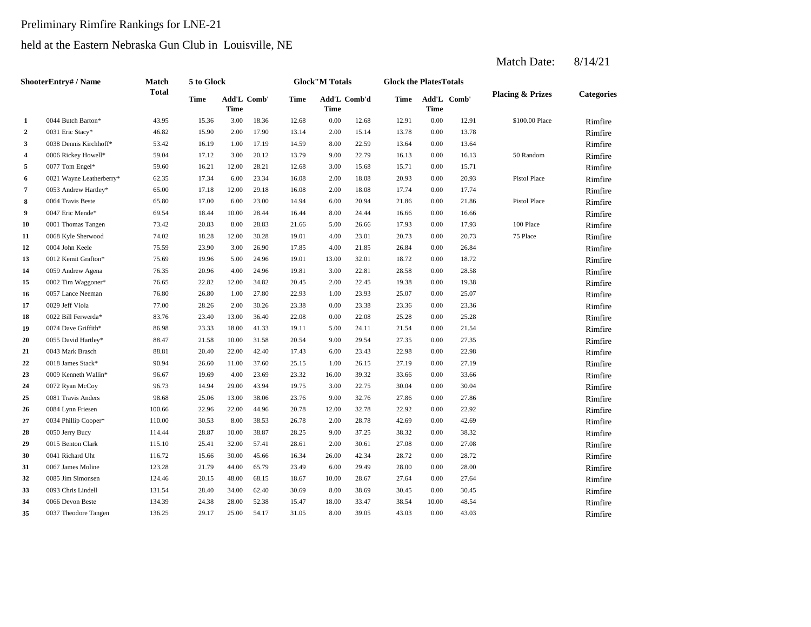# Preliminary Rimfire Rankings for LNE-21

### held at the Eastern Nebraska Gun Club in Louisville, NE

|              | <b>ShooterEntry#/Name</b> | Match        | 5 to Glock  |                     |       |             | <b>Glock</b> "M Totals |              | <b>Glock the PlatesTotals</b> |             |             |                             |                   |
|--------------|---------------------------|--------------|-------------|---------------------|-------|-------------|------------------------|--------------|-------------------------------|-------------|-------------|-----------------------------|-------------------|
|              |                           | <b>Total</b> | <b>Time</b> | Add'L Comb'<br>Time |       | <b>Time</b> | <b>Time</b>            | Add'L Comb'd | <b>Time</b>                   | <b>Time</b> | Add'L Comb' | <b>Placing &amp; Prizes</b> | <b>Categories</b> |
| 1            | 0044 Butch Barton*        | 43.95        | 15.36       | 3.00                | 18.36 | 12.68       | 0.00                   | 12.68        | 12.91                         | 0.00        | 12.91       | \$100.00 Place              | Rimfire           |
| $\mathbf{2}$ | 0031 Eric Stacy*          | 46.82        | 15.90       | 2.00                | 17.90 | 13.14       | 2.00                   | 15.14        | 13.78                         | 0.00        | 13.78       |                             | Rimfire           |
| 3            | 0038 Dennis Kirchhoff*    | 53.42        | 16.19       | 1.00                | 17.19 | 14.59       | 8.00                   | 22.59        | 13.64                         | 0.00        | 13.64       |                             | Rimfire           |
| 4            | 0006 Rickey Howell*       | 59.04        | 17.12       | 3.00                | 20.12 | 13.79       | 9.00                   | 22.79        | 16.13                         | 0.00        | 16.13       | 50 Random                   | Rimfire           |
| 5            | 0077 Tom Engel*           | 59.60        | 16.21       | 12.00               | 28.21 | 12.68       | 3.00                   | 15.68        | 15.71                         | 0.00        | 15.71       |                             | Rimfire           |
| 6            | 0021 Wayne Leatherberry*  | 62.35        | 17.34       | 6.00                | 23.34 | 16.08       | 2.00                   | 18.08        | 20.93                         | 0.00        | 20.93       | Pistol Place                | Rimfire           |
| 7            | 0053 Andrew Hartley*      | 65.00        | 17.18       | 12.00               | 29.18 | 16.08       | 2.00                   | 18.08        | 17.74                         | 0.00        | 17.74       |                             | Rimfire           |
| 8            | 0064 Travis Beste         | 65.80        | 17.00       | 6.00                | 23.00 | 14.94       | 6.00                   | 20.94        | 21.86                         | 0.00        | 21.86       | Pistol Place                | Rimfire           |
| 9            | 0047 Eric Mende*          | 69.54        | 18.44       | 10.00               | 28.44 | 16.44       | 8.00                   | 24.44        | 16.66                         | 0.00        | 16.66       |                             | Rimfire           |
| 10           | 0001 Thomas Tangen        | 73.42        | 20.83       | 8.00                | 28.83 | 21.66       | 5.00                   | 26.66        | 17.93                         | 0.00        | 17.93       | 100 Place                   | Rimfire           |
| 11           | 0068 Kyle Sherwood        | 74.02        | 18.28       | 12.00               | 30.28 | 19.01       | 4.00                   | 23.01        | 20.73                         | 0.00        | 20.73       | 75 Place                    | Rimfire           |
| 12           | 0004 John Keele           | 75.59        | 23.90       | 3.00                | 26.90 | 17.85       | 4.00                   | 21.85        | 26.84                         | 0.00        | 26.84       |                             | Rimfire           |
| 13           | 0012 Kemit Grafton*       | 75.69        | 19.96       | 5.00                | 24.96 | 19.01       | 13.00                  | 32.01        | 18.72                         | 0.00        | 18.72       |                             | Rimfire           |
| 14           | 0059 Andrew Agena         | 76.35        | 20.96       | 4.00                | 24.96 | 19.81       | 3.00                   | 22.81        | 28.58                         | 0.00        | 28.58       |                             | Rimfire           |
| 15           | 0002 Tim Waggoner*        | 76.65        | 22.82       | 12.00               | 34.82 | 20.45       | 2.00                   | 22.45        | 19.38                         | 0.00        | 19.38       |                             | Rimfire           |
| 16           | 0057 Lance Neeman         | 76.80        | 26.80       | 1.00                | 27.80 | 22.93       | 1.00                   | 23.93        | 25.07                         | 0.00        | 25.07       |                             | Rimfire           |
| 17           | 0029 Jeff Viola           | 77.00        | 28.26       | 2.00                | 30.26 | 23.38       | 0.00                   | 23.38        | 23.36                         | 0.00        | 23.36       |                             | Rimfire           |
| 18           | 0022 Bill Ferwerda*       | 83.76        | 23.40       | 13.00               | 36.40 | 22.08       | 0.00                   | 22.08        | 25.28                         | 0.00        | 25.28       |                             | Rimfire           |
| 19           | 0074 Dave Griffith*       | 86.98        | 23.33       | 18.00               | 41.33 | 19.11       | 5.00                   | 24.11        | 21.54                         | 0.00        | 21.54       |                             | Rimfire           |
| 20           | 0055 David Hartley*       | 88.47        | 21.58       | 10.00               | 31.58 | 20.54       | 9.00                   | 29.54        | 27.35                         | 0.00        | 27.35       |                             | Rimfire           |
| 21           | 0043 Mark Brasch          | 88.81        | 20.40       | 22.00               | 42.40 | 17.43       | 6.00                   | 23.43        | 22.98                         | 0.00        | 22.98       |                             | Rimfire           |
| 22           | 0018 James Stack*         | 90.94        | 26.60       | 11.00               | 37.60 | 25.15       | 1.00                   | 26.15        | 27.19                         | 0.00        | 27.19       |                             | Rimfire           |
| 23           | 0009 Kenneth Wallin*      | 96.67        | 19.69       | 4.00                | 23.69 | 23.32       | 16.00                  | 39.32        | 33.66                         | 0.00        | 33.66       |                             | Rimfire           |
| 24           | 0072 Ryan McCoy           | 96.73        | 14.94       | 29.00               | 43.94 | 19.75       | 3.00                   | 22.75        | 30.04                         | 0.00        | 30.04       |                             | Rimfire           |
| 25           | 0081 Travis Anders        | 98.68        | 25.06       | 13.00               | 38.06 | 23.76       | 9.00                   | 32.76        | 27.86                         | 0.00        | 27.86       |                             | Rimfire           |
| 26           | 0084 Lynn Friesen         | 100.66       | 22.96       | 22.00               | 44.96 | 20.78       | 12.00                  | 32.78        | 22.92                         | 0.00        | 22.92       |                             | Rimfire           |
| 27           | 0034 Phillip Cooper*      | 110.00       | 30.53       | 8.00                | 38.53 | 26.78       | 2.00                   | 28.78        | 42.69                         | 0.00        | 42.69       |                             | Rimfire           |
| 28           | 0050 Jerry Bucy           | 114.44       | 28.87       | 10.00               | 38.87 | 28.25       | 9.00                   | 37.25        | 38.32                         | 0.00        | 38.32       |                             | Rimfire           |
| 29           | 0015 Benton Clark         | 115.10       | 25.41       | 32.00               | 57.41 | 28.61       | 2.00                   | 30.61        | 27.08                         | 0.00        | 27.08       |                             | Rimfire           |
| 30           | 0041 Richard Uht          | 116.72       | 15.66       | 30.00               | 45.66 | 16.34       | 26.00                  | 42.34        | 28.72                         | 0.00        | 28.72       |                             | Rimfire           |
| 31           | 0067 James Moline         | 123.28       | 21.79       | 44.00               | 65.79 | 23.49       | 6.00                   | 29.49        | 28.00                         | 0.00        | 28.00       |                             | Rimfire           |
| 32           | 0085 Jim Simonsen         | 124.46       | 20.15       | 48.00               | 68.15 | 18.67       | 10.00                  | 28.67        | 27.64                         | 0.00        | 27.64       |                             | Rimfire           |
| 33           | 0093 Chris Lindell        | 131.54       | 28.40       | 34.00               | 62.40 | 30.69       | 8.00                   | 38.69        | 30.45                         | 0.00        | 30.45       |                             | Rimfire           |
| 34           | 0066 Devon Beste          | 134.39       | 24.38       | 28.00               | 52.38 | 15.47       | 18.00                  | 33.47        | 38.54                         | 10.00       | 48.54       |                             | Rimfire           |
| 35           | 0037 Theodore Tangen      | 136.25       | 29.17       | 25.00               | 54.17 | 31.05       | 8.00                   | 39.05        | 43.03                         | 0.00        | 43.03       |                             | Rimfire           |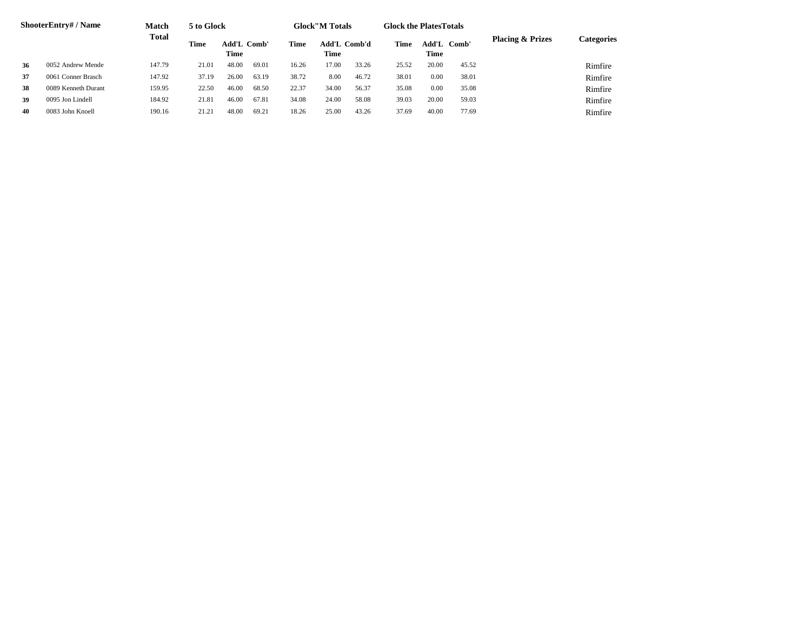|    | <b>ShooterEntry#/Name</b> | <b>Match</b> | 5 to Glock |                            |       |       | <b>Glock</b> "M Totals      |       | <b>Glock the Plates Totals</b> |                     |       |                             |            |
|----|---------------------------|--------------|------------|----------------------------|-------|-------|-----------------------------|-------|--------------------------------|---------------------|-------|-----------------------------|------------|
|    |                           | <b>Total</b> | Time       | <b>Add'L Comb'</b><br>Time |       | Time  | <b>Add'L Comb'd</b><br>Time |       | Time                           | Add'L Comb'<br>Time |       | <b>Placing &amp; Prizes</b> | Categories |
| 36 | 0052 Andrew Mende         | 147.79       | 21.01      | 48.00                      | 69.01 | 16.26 | 17.00                       | 33.26 | 25.52                          | 20.00               | 45.52 |                             | Rimfire    |
| 37 | 0061 Conner Brasch        | 147.92       | 37.19      | 26.00                      | 63.19 | 38.72 | 8.00                        | 46.72 | 38.01                          | 0.00                | 38.01 |                             | Rimfire    |
| 38 | 0089 Kenneth Durant       | 159.95       | 22.50      | 46.00                      | 68.50 | 22.37 | 34.00                       | 56.37 | 35.08                          | 0.00                | 35.08 |                             | Rimfire    |
| 39 | 0095 Jon Lindell          | 184.92       | 21.81      | 46.00                      | 67.81 | 34.08 | 24.00                       | 58.08 | 39.03                          | 20.00               | 59.03 |                             | Rimfire    |
| 40 | 0083 John Knoell          | 190.16       | 21.2       | 48.00                      | 69.21 | 18.26 | 25.00                       | 43.26 | 37.69                          | 40.00               | 77.69 |                             | Rimfire    |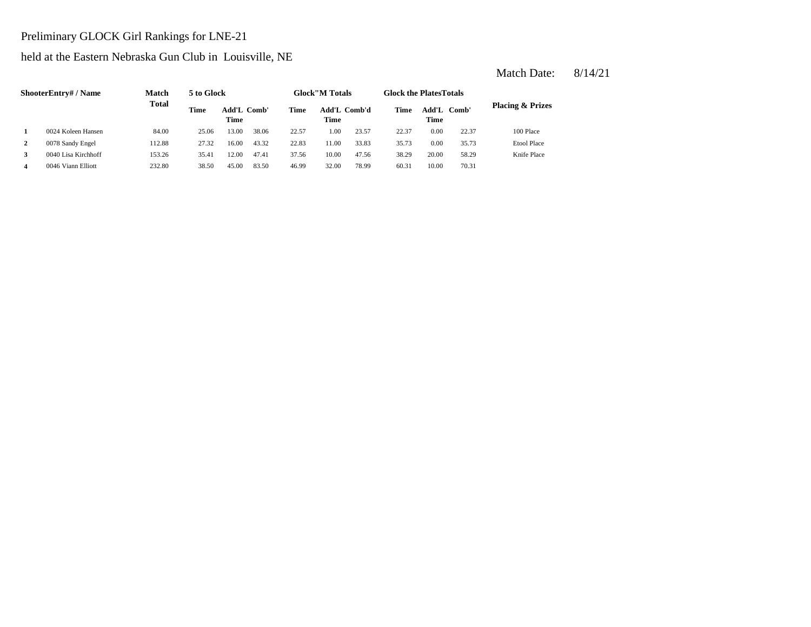#### Preliminary GLOCK Girl Rankings for LNE-21

#### held at the Eastern Nebraska Gun Club in Louisville, NE

|   | <b>ShooterEntry#/Name</b> | <b>Match</b> | 5 to Glock |                     |       |       | <b>Glock</b> "M Totals |       | <b>Glock the Plates Totals</b> |                            |       |                             |
|---|---------------------------|--------------|------------|---------------------|-------|-------|------------------------|-------|--------------------------------|----------------------------|-------|-----------------------------|
|   |                           | <b>Total</b> | Time       | Add'L Comb'<br>Time |       | Time  | Add'L Comb'd<br>Time   |       | Time                           | Add'L Comb'<br><b>Time</b> |       | <b>Placing &amp; Prizes</b> |
|   | 0024 Koleen Hansen        | 84.00        | 25.06      | 13.00               | 38.06 | 22.57 | 1.00                   | 23.57 | 22.37                          | 0.00                       | 22.37 | 100 Place                   |
| 2 | 0078 Sandy Engel          | 112.88       | 27.32      | 16.00               | 43.32 | 22.83 | 11.00                  | 33.83 | 35.73                          | 0.00                       | 35.73 | <b>Etool Place</b>          |
|   | 0040 Lisa Kirchhoff       | 153.26       | 35.41      | 12.00               | 47.41 | 37.56 | 10.00                  | 47.56 | 38.29                          | 20.00                      | 58.29 | Knife Place                 |
| 4 | 0046 Viann Elliott        | 232.80       | 38.50      | 45.00               | 83.50 | 46.99 | 32.00                  | 78.99 | 60.31                          | 10.00                      | 70.31 |                             |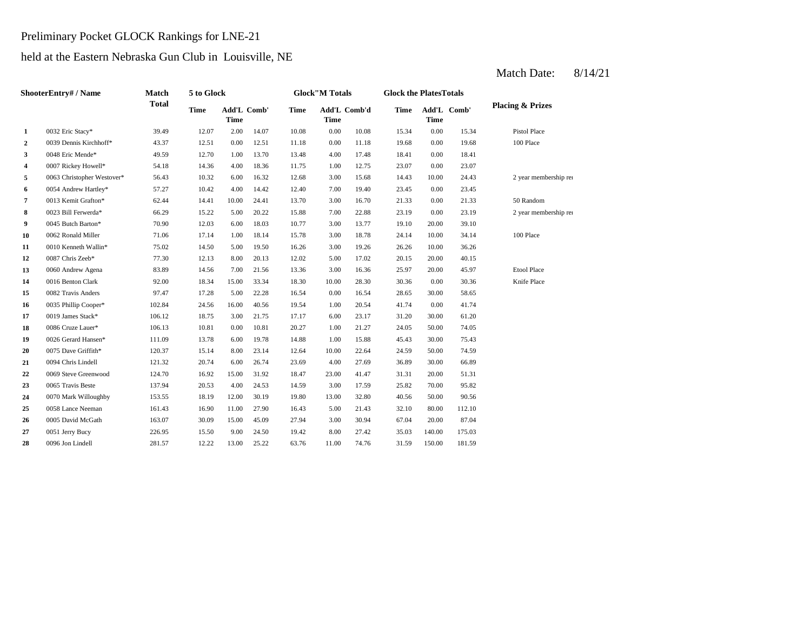#### Preliminary Pocket GLOCK Rankings for LNE-21

#### held at the Eastern Nebraska Gun Club in Louisville, NE

|    | ShooterEntry#/Name         | <b>Match</b> | 5 to Glock  |                            |       |             | <b>Glock</b> "M Totals      |       | <b>Glock the PlatesTotals</b> |             |             |                             |
|----|----------------------------|--------------|-------------|----------------------------|-------|-------------|-----------------------------|-------|-------------------------------|-------------|-------------|-----------------------------|
|    |                            | <b>Total</b> | <b>Time</b> | Add'L Comb'<br><b>Time</b> |       | <b>Time</b> | Add'L Comb'd<br><b>Time</b> |       | <b>Time</b>                   | <b>Time</b> | Add'L Comb' | <b>Placing &amp; Prizes</b> |
| 1  | 0032 Eric Stacy*           | 39.49        | 12.07       | 2.00                       | 14.07 | 10.08       | 0.00                        | 10.08 | 15.34                         | 0.00        | 15.34       | <b>Pistol Place</b>         |
| 2  | 0039 Dennis Kirchhoff*     | 43.37        | 12.51       | 0.00                       | 12.51 | 11.18       | 0.00                        | 11.18 | 19.68                         | 0.00        | 19.68       | 100 Place                   |
| 3  | 0048 Eric Mende*           | 49.59        | 12.70       | 1.00                       | 13.70 | 13.48       | 4.00                        | 17.48 | 18.41                         | 0.00        | 18.41       |                             |
| 4  | 0007 Rickey Howell*        | 54.18        | 14.36       | 4.00                       | 18.36 | 11.75       | 1.00                        | 12.75 | 23.07                         | 0.00        | 23.07       |                             |
| 5  | 0063 Christopher Westover* | 56.43        | 10.32       | 6.00                       | 16.32 | 12.68       | 3.00                        | 15.68 | 14.43                         | 10.00       | 24.43       | 2 year membership rea       |
| 6  | 0054 Andrew Hartley*       | 57.27        | 10.42       | 4.00                       | 14.42 | 12.40       | 7.00                        | 19.40 | 23.45                         | 0.00        | 23.45       |                             |
| 7  | 0013 Kemit Grafton*        | 62.44        | 14.41       | 10.00                      | 24.41 | 13.70       | 3.00                        | 16.70 | 21.33                         | 0.00        | 21.33       | 50 Random                   |
| 8  | 0023 Bill Ferwerda*        | 66.29        | 15.22       | 5.00                       | 20.22 | 15.88       | 7.00                        | 22.88 | 23.19                         | 0.00        | 23.19       | 2 year membership rea       |
| 9  | 0045 Butch Barton*         | 70.90        | 12.03       | 6.00                       | 18.03 | 10.77       | 3.00                        | 13.77 | 19.10                         | 20.00       | 39.10       |                             |
| 10 | 0062 Ronald Miller         | 71.06        | 17.14       | 1.00                       | 18.14 | 15.78       | 3.00                        | 18.78 | 24.14                         | 10.00       | 34.14       | 100 Place                   |
| 11 | 0010 Kenneth Wallin*       | 75.02        | 14.50       | 5.00                       | 19.50 | 16.26       | 3.00                        | 19.26 | 26.26                         | 10.00       | 36.26       |                             |
| 12 | 0087 Chris Zeeb*           | 77.30        | 12.13       | 8.00                       | 20.13 | 12.02       | 5.00                        | 17.02 | 20.15                         | 20.00       | 40.15       |                             |
| 13 | 0060 Andrew Agena          | 83.89        | 14.56       | 7.00                       | 21.56 | 13.36       | 3.00                        | 16.36 | 25.97                         | 20.00       | 45.97       | <b>Etool Place</b>          |
| 14 | 0016 Benton Clark          | 92.00        | 18.34       | 15.00                      | 33.34 | 18.30       | 10.00                       | 28.30 | 30.36                         | 0.00        | 30.36       | Knife Place                 |
| 15 | 0082 Travis Anders         | 97.47        | 17.28       | 5.00                       | 22.28 | 16.54       | 0.00                        | 16.54 | 28.65                         | 30.00       | 58.65       |                             |
| 16 | 0035 Phillip Cooper*       | 102.84       | 24.56       | 16.00                      | 40.56 | 19.54       | 1.00                        | 20.54 | 41.74                         | 0.00        | 41.74       |                             |
| 17 | 0019 James Stack*          | 106.12       | 18.75       | 3.00                       | 21.75 | 17.17       | 6.00                        | 23.17 | 31.20                         | 30.00       | 61.20       |                             |
| 18 | 0086 Cruze Lauer*          | 106.13       | 10.81       | 0.00                       | 10.81 | 20.27       | 1.00                        | 21.27 | 24.05                         | 50.00       | 74.05       |                             |
| 19 | 0026 Gerard Hansen*        | 111.09       | 13.78       | 6.00                       | 19.78 | 14.88       | 1.00                        | 15.88 | 45.43                         | 30.00       | 75.43       |                             |
| 20 | 0075 Dave Griffith*        | 120.37       | 15.14       | 8.00                       | 23.14 | 12.64       | 10.00                       | 22.64 | 24.59                         | 50.00       | 74.59       |                             |
| 21 | 0094 Chris Lindell         | 121.32       | 20.74       | 6.00                       | 26.74 | 23.69       | 4.00                        | 27.69 | 36.89                         | 30.00       | 66.89       |                             |
| 22 | 0069 Steve Greenwood       | 124.70       | 16.92       | 15.00                      | 31.92 | 18.47       | 23.00                       | 41.47 | 31.31                         | 20.00       | 51.31       |                             |
| 23 | 0065 Travis Beste          | 137.94       | 20.53       | 4.00                       | 24.53 | 14.59       | 3.00                        | 17.59 | 25.82                         | 70.00       | 95.82       |                             |
| 24 | 0070 Mark Willoughby       | 153.55       | 18.19       | 12.00                      | 30.19 | 19.80       | 13.00                       | 32.80 | 40.56                         | 50.00       | 90.56       |                             |
| 25 | 0058 Lance Neeman          | 161.43       | 16.90       | 11.00                      | 27.90 | 16.43       | 5.00                        | 21.43 | 32.10                         | 80.00       | 112.10      |                             |
| 26 | 0005 David McGath          | 163.07       | 30.09       | 15.00                      | 45.09 | 27.94       | 3.00                        | 30.94 | 67.04                         | 20.00       | 87.04       |                             |
| 27 | 0051 Jerry Bucy            | 226.95       | 15.50       | 9.00                       | 24.50 | 19.42       | 8.00                        | 27.42 | 35.03                         | 140.00      | 175.03      |                             |
| 28 | 0096 Jon Lindell           | 281.57       | 12.22       | 13.00                      | 25.22 | 63.76       | 11.00                       | 74.76 | 31.59                         | 150.00      | 181.59      |                             |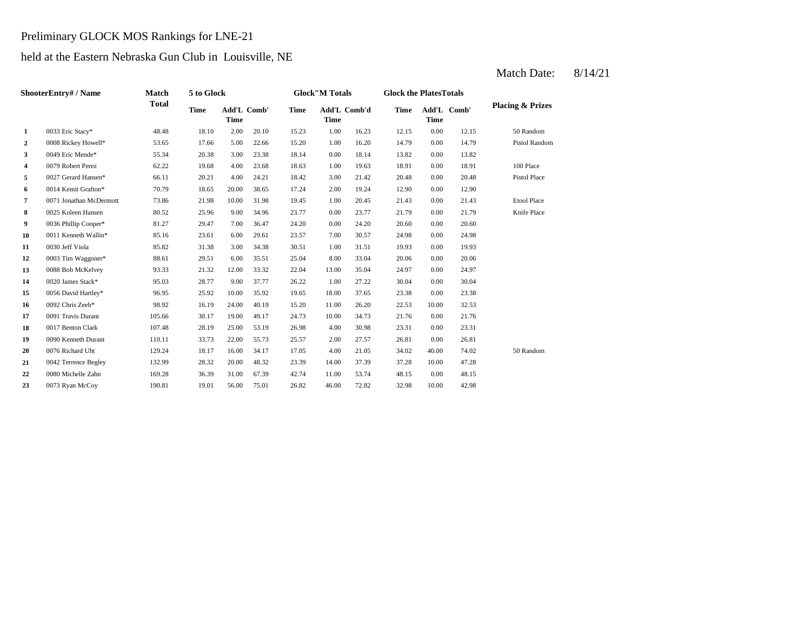#### Preliminary GLOCK MOS Rankings for LNE-21

#### held at the Eastern Nebraska Gun Club in Louisville, NE

#### **2** 0008 Rickey Howell\* 53.65 17.66 5.00 22.66 15.20 1.00 16.20 14.79 0.00 **3** 0.049 Eric Mende\* 55.34 20.38 3.00 23.38 18.14 0.00 18.14 13.82 0.00 **4** 0079 Robert Perez 62.22 19.68 4.00 23.68 18.63 1.00 19.63 18.91 0.00 18.91 **5** 3.00 **31.42** 3.00 20.48 **66.11 20.21** 4.00 **24.21 18.42** 3.00 **21.42 20.48** 3.00 **20.48 6** 0014 Kemit Grafton\* 70.79 18.65 20.00 38.65 17.24 2.00 19.24 12.90 0.00 12.90 **7** 1.00 21.43 0071 Jonathan McDermott 73.86 21.98 10.00 31.98 19.45 **8** 0.025 Koleen Hansen 80.52 25.96 9.00 34.96 23.77 0.00 23.77 21.79 **9** 0.00 **9** 0.00 **24.20** 20.60 **10** 0011 Kenneth Wallin\* 85.16 23.61 6.00 29.61 23.57 7.00 30.57 24.98 **11** 0030 Jeff Viola **85.82** 31.38 3.00 34.38 30.51 1.00 31.51 19.93 0.00 **12** 0003 Tim Waggoner\* 88.61 29.51 6.00 35.51 25.04 8.00 33.04 20.06 0.00 20.06 **13** 0088 Bob McKelvey **93.33** 21.32 12.00 33.32 22.04 13.00 35.04 24.97 **14** 0020 James Stack\* 95.03 28.77 9.00 37.77 26.22 1.00 27.22 30.04 **15** 18.00 23.38 0056 David Hartley\* 96.95 25.92 10.00 35.92 19.65 37.65 0.00 **16** 0092 Chris Zeeb\* 98.92 16.19 24.00 40.19 15.20 11.00 26.20 22.53 10.00 32.53 **17** 105.66 30.17 19.00 49.17 24.73 10.00 34.73 21.76 **18** 0017 Benton Clark 107.48 28.19 25.00 53.19 26.98 4.00 30.98 23.31 **19** 2.00 **Example 110.11** 23.73 22.00 27.57 2.00 27.57 2.6.81 2.00 **20** 4.00 34.02 0076 Richard Uht 129.24 18.17 16.00 34.17 17.05 21.05 40.00 74.02 **21** 14.00 37.28 0042 Terrence Begley 132.99 28.32 20.00 48.32 23.39 37.39 10.00 47.28 **22** 0080 Michelle Zahn 169.28 36.39 31.00 67.39 42.74 11.00 53.74 48.15 **23** 0073 Ryan McCoy 190.81 190.81 19.01 56.00 75.01 26.82 46.00 72.82 32.98 10.00 42.98 53.74 0.00 48.15 50 Random 26.81 0.00 23.31 34.73 0.00 21.76 23.38 0.00 30.04 35.04 0.00 24.97 19.93 0.00 24.98  $24.20$   $20.60$   $0.00$   $20.60$ 23.77 21.79 0.00 21.79 Knife Place 20.45 0.00 21.43 Etool Place Pistol Place 100 Place 13.82 14.79 Pistol Random 12.15 50 Random 20.10 15.23 1.00 16.23 12.15 0.00 **Add'L Time Comb'd Time Add'L Comb' Placing & Prizes Time Add'L Time 1** 0033 Eric Stacy\* 48.48 18.10 2.00 **ShooterEntry# / Name Match Total 5 to Glock Time Glock"M Totals Glock the PlatesTotals Time** Add'L Comb' **Time**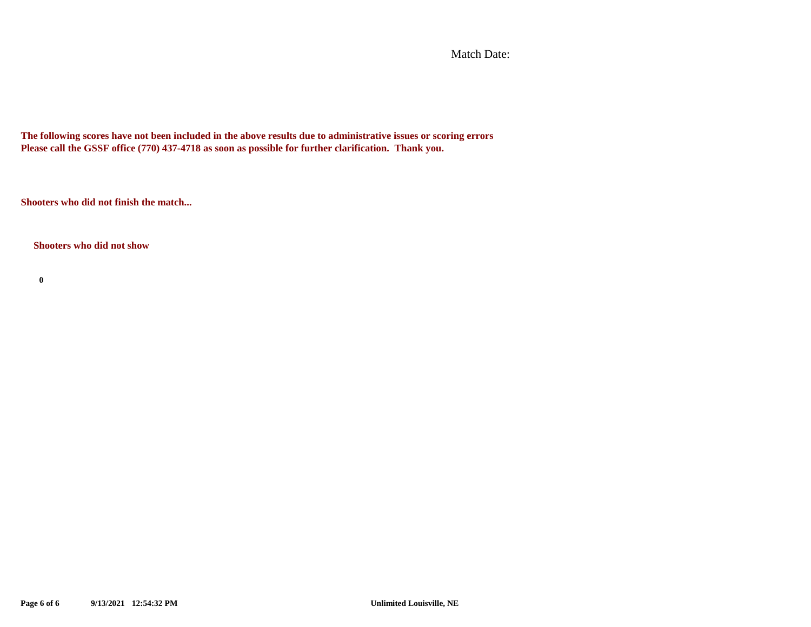Match Date:

**The following scores have not been included in the above results due to administrative issues or scoring errors Please call the GSSF office (770) 437-4718 as soon as possible for further clarification. Thank you.**

**Shooters who did not finish the match...**

**Shooters who did not show**

**0**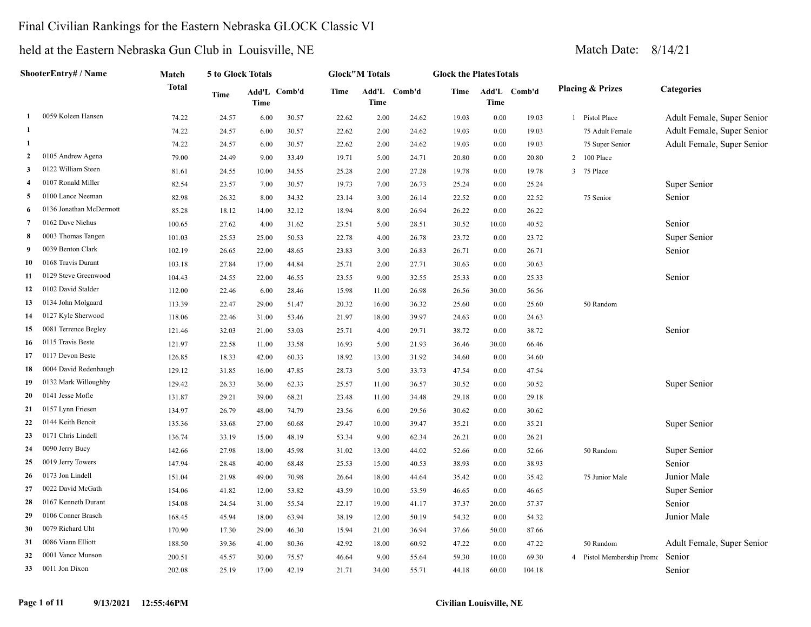### Final Civilian Rankings for the Eastern Nebraska GLOCK Classic VI

|                         | ShooterEntry# / Name    | Match        | 5 to Glock Totals |             |              |       | <b>Glock"M Totals</b>       |       | <b>Glock the PlatesTotals</b> |             |              |                             |                            |
|-------------------------|-------------------------|--------------|-------------------|-------------|--------------|-------|-----------------------------|-------|-------------------------------|-------------|--------------|-----------------------------|----------------------------|
|                         |                         | <b>Total</b> | Time              | <b>Time</b> | Add'L Comb'd | Time  | Add'L Comb'd<br><b>Time</b> |       | Time                          | <b>Time</b> | Add'L Comb'd | <b>Placing &amp; Prizes</b> | <b>Categories</b>          |
| 1                       | 0059 Koleen Hansen      | 74.22        | 24.57             | 6.00        | 30.57        | 22.62 | 2.00                        | 24.62 | 19.03                         | 0.00        | 19.03        | 1 Pistol Place              | Adult Female, Super Senior |
| -1                      |                         | 74.22        | 24.57             | 6.00        | 30.57        | 22.62 | 2.00                        | 24.62 | 19.03                         | $0.00\,$    | 19.03        | 75 Adult Female             | Adult Female, Super Senior |
| 1                       |                         | 74.22        | 24.57             | 6.00        | 30.57        | 22.62 | 2.00                        | 24.62 | 19.03                         | 0.00        | 19.03        | 75 Super Senior             | Adult Female, Super Senior |
| $\overline{2}$          | 0105 Andrew Agena       | 79.00        | 24.49             | 9.00        | 33.49        | 19.71 | 5.00                        | 24.71 | 20.80                         | 0.00        | 20.80        | 2 100 Place                 |                            |
| 3                       | 0122 William Steen      | 81.61        | 24.55             | 10.00       | 34.55        | 25.28 | 2.00                        | 27.28 | 19.78                         | 0.00        | 19.78        | 3 75 Place                  |                            |
| $\overline{\mathbf{4}}$ | 0107 Ronald Miller      | 82.54        | 23.57             | 7.00        | 30.57        | 19.73 | 7.00                        | 26.73 | 25.24                         | $0.00\,$    | 25.24        |                             | Super Senior               |
| 5                       | 0100 Lance Neeman       | 82.98        | 26.32             | 8.00        | 34.32        | 23.14 | 3.00                        | 26.14 | 22.52                         | $0.00\,$    | 22.52        | 75 Senior                   | Senior                     |
| 6                       | 0136 Jonathan McDermott | 85.28        | 18.12             | 14.00       | 32.12        | 18.94 | 8.00                        | 26.94 | 26.22                         | 0.00        | 26.22        |                             |                            |
| $\overline{7}$          | 0162 Dave Niehus        | 100.65       | 27.62             | 4.00        | 31.62        | 23.51 | 5.00                        | 28.51 | 30.52                         | 10.00       | 40.52        |                             | Senior                     |
| 8                       | 0003 Thomas Tangen      | 101.03       | 25.53             | 25.00       | 50.53        | 22.78 | 4.00                        | 26.78 | 23.72                         | 0.00        | 23.72        |                             | Super Senior               |
| -9                      | 0039 Benton Clark       | 102.19       | 26.65             | 22.00       | 48.65        | 23.83 | 3.00                        | 26.83 | 26.71                         | 0.00        | 26.71        |                             | Senior                     |
| 10                      | 0168 Travis Durant      | 103.18       | 27.84             | 17.00       | 44.84        | 25.71 | 2.00                        | 27.71 | 30.63                         | 0.00        | 30.63        |                             |                            |
| 11                      | 0129 Steve Greenwood    | 104.43       | 24.55             | 22.00       | 46.55        | 23.55 | 9.00                        | 32.55 | 25.33                         | 0.00        | 25.33        |                             | Senior                     |
| 12                      | 0102 David Stalder      | 112.00       | 22.46             | 6.00        | 28.46        | 15.98 | 11.00                       | 26.98 | 26.56                         | 30.00       | 56.56        |                             |                            |
| 13                      | 0134 John Molgaard      | 113.39       | 22.47             | 29.00       | 51.47        | 20.32 | 16.00                       | 36.32 | 25.60                         | 0.00        | 25.60        | 50 Random                   |                            |
| 14                      | 0127 Kyle Sherwood      | 118.06       | 22.46             | 31.00       | 53.46        | 21.97 | 18.00                       | 39.97 | 24.63                         | $0.00\,$    | 24.63        |                             |                            |
| 15                      | 0081 Terrence Begley    | 121.46       | 32.03             | 21.00       | 53.03        | 25.71 | 4.00                        | 29.71 | 38.72                         | 0.00        | 38.72        |                             | Senior                     |
| 16                      | 0115 Travis Beste       | 121.97       | 22.58             | 11.00       | 33.58        | 16.93 | 5.00                        | 21.93 | 36.46                         | 30.00       | 66.46        |                             |                            |
| 17                      | 0117 Devon Beste        | 126.85       | 18.33             | 42.00       | 60.33        | 18.92 | 13.00                       | 31.92 | 34.60                         | 0.00        | 34.60        |                             |                            |
| 18                      | 0004 David Redenbaugh   | 129.12       | 31.85             | 16.00       | 47.85        | 28.73 | 5.00                        | 33.73 | 47.54                         | 0.00        | 47.54        |                             |                            |
| 19                      | 0132 Mark Willoughby    | 129.42       | 26.33             | 36.00       | 62.33        | 25.57 | 11.00                       | 36.57 | 30.52                         | $0.00\,$    | 30.52        |                             | Super Senior               |
| 20                      | 0141 Jesse Mofle        | 131.87       | 29.21             | 39.00       | 68.21        | 23.48 | 11.00                       | 34.48 | 29.18                         | $0.00\,$    | 29.18        |                             |                            |
| 21                      | 0157 Lynn Friesen       | 134.97       | 26.79             | 48.00       | 74.79        | 23.56 | 6.00                        | 29.56 | 30.62                         | $0.00\,$    | 30.62        |                             |                            |
| 22                      | 0144 Keith Benoit       | 135.36       | 33.68             | 27.00       | 60.68        | 29.47 | 10.00                       | 39.47 | 35.21                         | $0.00\,$    | 35.21        |                             | Super Senior               |
| 23                      | 0171 Chris Lindell      | 136.74       | 33.19             | 15.00       | 48.19        | 53.34 | 9.00                        | 62.34 | 26.21                         | $0.00\,$    | 26.21        |                             |                            |
| 24                      | 0090 Jerry Bucy         | 142.66       | 27.98             | 18.00       | 45.98        | 31.02 | 13.00                       | 44.02 | 52.66                         | 0.00        | 52.66        | 50 Random                   | Super Senior               |
| 25                      | 0019 Jerry Towers       | 147.94       | 28.48             | 40.00       | 68.48        | 25.53 | 15.00                       | 40.53 | 38.93                         | 0.00        | 38.93        |                             | Senior                     |
| 26                      | 0173 Jon Lindell        | 151.04       | 21.98             | 49.00       | 70.98        | 26.64 | 18.00                       | 44.64 | 35.42                         | 0.00        | 35.42        | 75 Junior Male              | Junior Male                |
| 27                      | 0022 David McGath       | 154.06       | 41.82             | 12.00       | 53.82        | 43.59 | 10.00                       | 53.59 | 46.65                         | $0.00\,$    | 46.65        |                             | Super Senior               |
| 28                      | 0167 Kenneth Durant     | 154.08       | 24.54             | 31.00       | 55.54        | 22.17 | 19.00                       | 41.17 | 37.37                         | 20.00       | 57.37        |                             | Senior                     |
| 29                      | 0106 Conner Brasch      | 168.45       | 45.94             | 18.00       | 63.94        | 38.19 | 12.00                       | 50.19 | 54.32                         | 0.00        | 54.32        |                             | Junior Male                |
| 30                      | 0079 Richard Uht        | 170.90       | 17.30             | 29.00       | 46.30        | 15.94 | 21.00                       | 36.94 | 37.66                         | 50.00       | 87.66        |                             |                            |
| 31                      | 0086 Viann Elliott      | 188.50       | 39.36             | 41.00       | 80.36        | 42.92 | 18.00                       | 60.92 | 47.22                         | 0.00        | 47.22        | 50 Random                   | Adult Female, Super Senior |
| 32                      | 0001 Vance Munson       | 200.51       | 45.57             | 30.00       | 75.57        | 46.64 | 9.00                        | 55.64 | 59.30                         | 10.00       | 69.30        | 4 Pistol Membership Promo   | Senior                     |
| 33                      | 0011 Jon Dixon          | 202.08       | 25.19             | 17.00       | 42.19        | 21.71 | 34.00                       | 55.71 | 44.18                         | 60.00       | 104.18       |                             | Senior                     |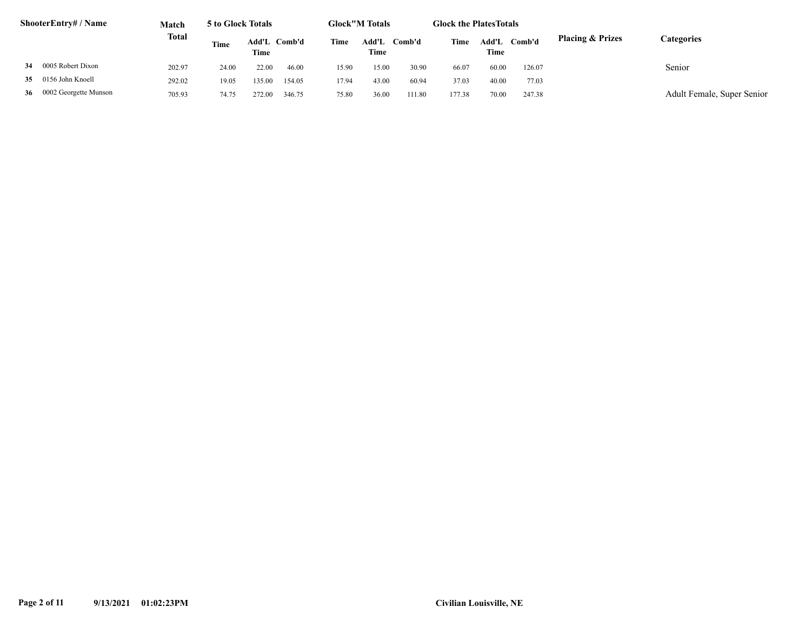|    | ShooterEntry# / Name     | <b>Match</b> | 5 to Glock Totals |                      |        |       | <b>Glock</b> "M Totals |        | <b>Glock the PlatesTotals</b> |               |        |                             |                            |  |
|----|--------------------------|--------------|-------------------|----------------------|--------|-------|------------------------|--------|-------------------------------|---------------|--------|-----------------------------|----------------------------|--|
|    |                          | Total        | Time              | Add'L Comb'd<br>Time |        | Time  | Add'I.<br>Time         | Comb'd | Time                          | Add'L<br>Time | Comb'd | <b>Placing &amp; Prizes</b> | Categories                 |  |
| 34 | 0005 Robert Dixon        | 202.97       | 24.00             | 22.00                | 46.00  | 15.90 | 15.00                  | 30.90  | 66.07                         | 60.00         | 126.07 |                             | Senior                     |  |
|    | 35 0156 John Knoell      | 292.02       | 19.05             | 135.00               | 154.05 | 17.94 | 43.00                  | 60.94  | 37.03                         | 40.00         | 77.03  |                             |                            |  |
|    | 36 0002 Georgette Munson | 705.93       | 74.75             | 272.00               | 346.75 | 75.80 | 36.00                  | 111.80 | 177.38                        | 70.00         | 247.38 |                             | Adult Female, Super Senior |  |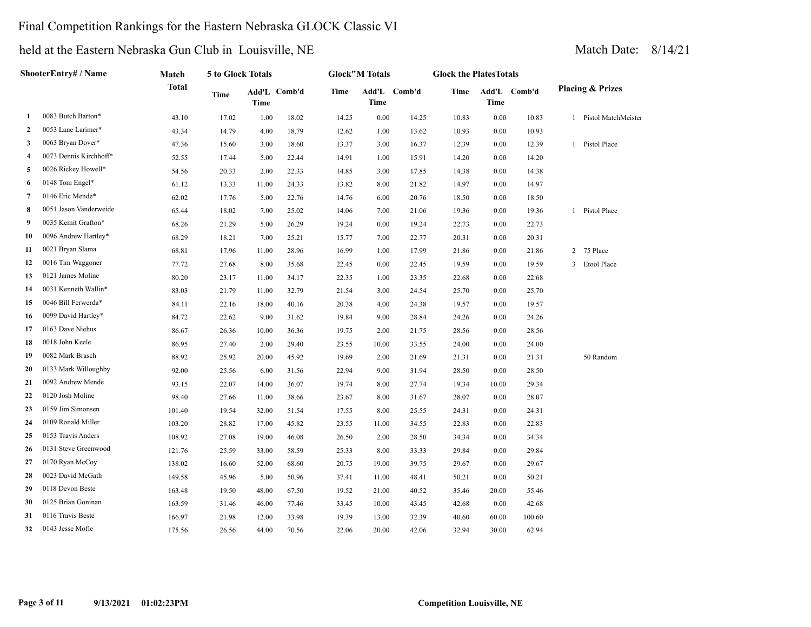### Final Competition Rankings for the Eastern Nebraska GLOCK Classic VI

|                | ShooterEntry# / Name   | Match  | 5 to Glock Totals |       |              |       | <b>Glock"M Totals</b> |              | <b>Glock the PlatesTotals</b> |             |              |              |                             |
|----------------|------------------------|--------|-------------------|-------|--------------|-------|-----------------------|--------------|-------------------------------|-------------|--------------|--------------|-----------------------------|
|                |                        | Total  | Time              | Time  | Add'L Comb'd | Time  | Time                  | Add'L Comb'd | <b>Time</b>                   | <b>Time</b> | Add'L Comb'd |              | <b>Placing &amp; Prizes</b> |
| 1              | 0083 Butch Barton*     | 43.10  | 17.02             | 1.00  | 18.02        | 14.25 | 0.00                  | 14.25        | 10.83                         | 0.00        | 10.83        | $\mathbf{1}$ | Pistol MatchMeister         |
| $\overline{2}$ | 0053 Lane Larimer*     | 43.34  | 14.79             | 4.00  | 18.79        | 12.62 | 1.00                  | 13.62        | 10.93                         | 0.00        | 10.93        |              |                             |
| 3              | 0063 Bryan Dover*      | 47.36  | 15.60             | 3.00  | 18.60        | 13.37 | 3.00                  | 16.37        | 12.39                         | 0.00        | 12.39        | 1            | Pistol Place                |
| 4              | 0073 Dennis Kirchhoff* | 52.55  | 17.44             | 5.00  | 22.44        | 14.91 | 1.00                  | 15.91        | 14.20                         | 0.00        | 14.20        |              |                             |
| 5              | 0026 Rickey Howell*    | 54.56  | 20.33             | 2.00  | 22.33        | 14.85 | 3.00                  | 17.85        | 14.38                         | 0.00        | 14.38        |              |                             |
| 6              | 0148 Tom Engel*        | 61.12  | 13.33             | 11.00 | 24.33        | 13.82 | 8.00                  | 21.82        | 14.97                         | 0.00        | 14.97        |              |                             |
| 7              | 0146 Eric Mende*       | 62.02  | 17.76             | 5.00  | 22.76        | 14.76 | 6.00                  | 20.76        | 18.50                         | 0.00        | 18.50        |              |                             |
| 8              | 0051 Jason Vanderweide | 65.44  | 18.02             | 7.00  | 25.02        | 14.06 | 7.00                  | 21.06        | 19.36                         | 0.00        | 19.36        | 1            | Pistol Place                |
| 9              | 0035 Kemit Grafton*    | 68.26  | 21.29             | 5.00  | 26.29        | 19.24 | 0.00                  | 19.24        | 22.73                         | 0.00        | 22.73        |              |                             |
| 10             | 0096 Andrew Hartley*   | 68.29  | 18.21             | 7.00  | 25.21        | 15.77 | 7.00                  | 22.77        | 20.31                         | 0.00        | 20.31        |              |                             |
| 11             | 0021 Bryan Slama       | 68.81  | 17.96             | 11.00 | 28.96        | 16.99 | 1.00                  | 17.99        | 21.86                         | 0.00        | 21.86        |              | 2 75 Place                  |
| 12             | 0016 Tim Waggoner      | 77.72  | 27.68             | 8.00  | 35.68        | 22.45 | 0.00                  | 22.45        | 19.59                         | 0.00        | 19.59        | 3            | Etool Place                 |
| 13             | 0121 James Moline      | 80.20  | 23.17             | 11.00 | 34.17        | 22.35 | 1.00                  | 23.35        | 22.68                         | 0.00        | 22.68        |              |                             |
| 14             | 0031 Kenneth Wallin*   | 83.03  | 21.79             | 11.00 | 32.79        | 21.54 | 3.00                  | 24.54        | 25.70                         | 0.00        | 25.70        |              |                             |
| 15             | 0046 Bill Ferwerda*    | 84.11  | 22.16             | 18.00 | 40.16        | 20.38 | 4.00                  | 24.38        | 19.57                         | 0.00        | 19.57        |              |                             |
| 16             | 0099 David Hartley*    | 84.72  | 22.62             | 9.00  | 31.62        | 19.84 | 9.00                  | 28.84        | 24.26                         | 0.00        | 24.26        |              |                             |
| 17             | 0163 Dave Niehus       | 86.67  | 26.36             | 10.00 | 36.36        | 19.75 | 2.00                  | 21.75        | 28.56                         | 0.00        | 28.56        |              |                             |
| 18             | 0018 John Keele        | 86.95  | 27.40             | 2.00  | 29.40        | 23.55 | 10.00                 | 33.55        | 24.00                         | 0.00        | 24.00        |              |                             |
| 19             | 0082 Mark Brasch       | 88.92  | 25.92             | 20.00 | 45.92        | 19.69 | 2.00                  | 21.69        | 21.31                         | 0.00        | 21.31        |              | 50 Random                   |
| 20             | 0133 Mark Willoughby   | 92.00  | 25.56             | 6.00  | 31.56        | 22.94 | 9.00                  | 31.94        | 28.50                         | 0.00        | 28.50        |              |                             |
| 21             | 0092 Andrew Mende      | 93.15  | 22.07             | 14.00 | 36.07        | 19.74 | 8.00                  | 27.74        | 19.34                         | 10.00       | 29.34        |              |                             |
| 22             | 0120 Josh Moline       | 98.40  | 27.66             | 11.00 | 38.66        | 23.67 | 8.00                  | 31.67        | 28.07                         | 0.00        | 28.07        |              |                             |
| 23             | 0159 Jim Simonsen      | 101.40 | 19.54             | 32.00 | 51.54        | 17.55 | 8.00                  | 25.55        | 24.31                         | 0.00        | 24.31        |              |                             |
| 24             | 0109 Ronald Miller     | 103.20 | 28.82             | 17.00 | 45.82        | 23.55 | 11.00                 | 34.55        | 22.83                         | 0.00        | 22.83        |              |                             |
| 25             | 0153 Travis Anders     | 108.92 | 27.08             | 19.00 | 46.08        | 26.50 | 2.00                  | 28.50        | 34.34                         | 0.00        | 34.34        |              |                             |
| 26             | 0131 Steve Greenwood   | 121.76 | 25.59             | 33.00 | 58.59        | 25.33 | 8.00                  | 33.33        | 29.84                         | 0.00        | 29.84        |              |                             |
| 27             | 0170 Ryan McCoy        | 138.02 | 16.60             | 52.00 | 68.60        | 20.75 | 19.00                 | 39.75        | 29.67                         | 0.00        | 29.67        |              |                             |
| 28             | 0023 David McGath      | 149.58 | 45.96             | 5.00  | 50.96        | 37.41 | 11.00                 | 48.41        | 50.21                         | 0.00        | 50.21        |              |                             |
| 29             | 0118 Devon Beste       | 163.48 | 19.50             | 48.00 | 67.50        | 19.52 | 21.00                 | 40.52        | 35.46                         | 20.00       | 55.46        |              |                             |
| 30             | 0125 Brian Goninan     | 163.59 | 31.46             | 46.00 | 77.46        | 33.45 | 10.00                 | 43.45        | 42.68                         | 0.00        | 42.68        |              |                             |
| 31             | 0116 Travis Beste      | 166.97 | 21.98             | 12.00 | 33.98        | 19.39 | 13.00                 | 32.39        | 40.60                         | 60.00       | 100.60       |              |                             |
| 32             | 0143 Jesse Mofle       | 175.56 | 26.56             | 44.00 | 70.56        | 22.06 | 20.00                 | 42.06        | 32.94                         | 30.00       | 62.94        |              |                             |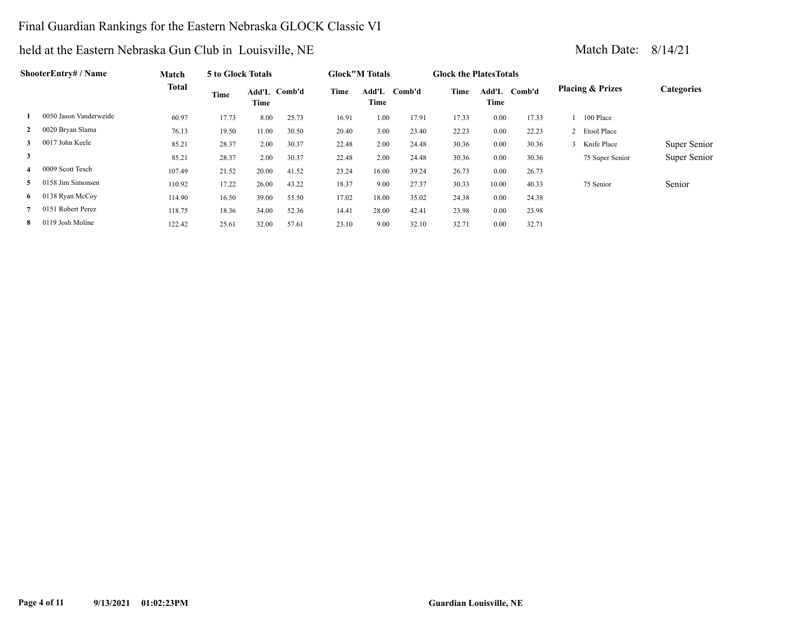### Final Guardian Rankings for the Eastern Nebraska GLOCK Classic VI

|                | ShooterEntry# / Name   | Match        | 5 to Glock Totals |       |              |       | <b>Glock</b> "M Totals |        | <b>Glock the Plates Totals</b> |       |              |                             |              |
|----------------|------------------------|--------------|-------------------|-------|--------------|-------|------------------------|--------|--------------------------------|-------|--------------|-----------------------------|--------------|
|                |                        | <b>Total</b> | Time              | Time  | Add'L Comb'd | Time  | Add'L<br>Time          | Comb'd | Time                           | Time  | Add'L Comb'd | <b>Placing &amp; Prizes</b> | Categories   |
|                | 0050 Jason Vanderweide | 60.97        | 17.73             | 8.00  | 25.73        | 16.91 | 1.00                   | 17.91  | 17.33                          | 0.00  | 17.33        | 100 Place                   |              |
| $\mathbf{2}$   | 0020 Bryan Slama       | 76.13        | 19.50             | 11.00 | 30.50        | 20.40 | 3.00                   | 23.40  | 22.23                          | 0.00  | 22.23        | 2 Etool Place               |              |
| $\mathbf{3}$   | 0017 John Keele        | 85.21        | 28.37             | 2.00  | 30.37        | 22.48 | 2.00                   | 24.48  | 30.36                          | 0.00  | 30.36        | 3 Knife Place               | Super Senior |
| 3              |                        | 85.21        | 28.37             | 2.00  | 30.37        | 22.48 | 2.00                   | 24.48  | 30.36                          | 0.00  | 30.36        | 75 Super Senior             | Super Senior |
| 4              | 0009 Scott Tesch       | 107.49       | 21.52             | 20.00 | 41.52        | 23.24 | 16.00                  | 39.24  | 26.73                          | 0.00  | 26.73        |                             |              |
| 5.             | 0158 Jim Simonsen      | 110.92       | 17.22             | 26.00 | 43.22        | 18.37 | 9.00                   | 27.37  | 30.33                          | 10.00 | 40.33        | 75 Senior                   | Senior       |
| 6 <sup>1</sup> | 0138 Ryan McCoy        | 114.90       | 16.50             | 39.00 | 55.50        | 17.02 | 18.00                  | 35.02  | 24.38                          | 0.00  | 24.38        |                             |              |
|                | 0151 Robert Perez      | 118.75       | 18.36             | 34.00 | 52.36        | 14.41 | 28.00                  | 42.41  | 23.98                          | 0.00  | 23.98        |                             |              |
| 8              | 0119 Josh Moline       | 122.42       | 25.61             | 32.00 | 57.61        | 23.10 | 9.00                   | 32.10  | 32.71                          | 0.00  | 32.71        |                             |              |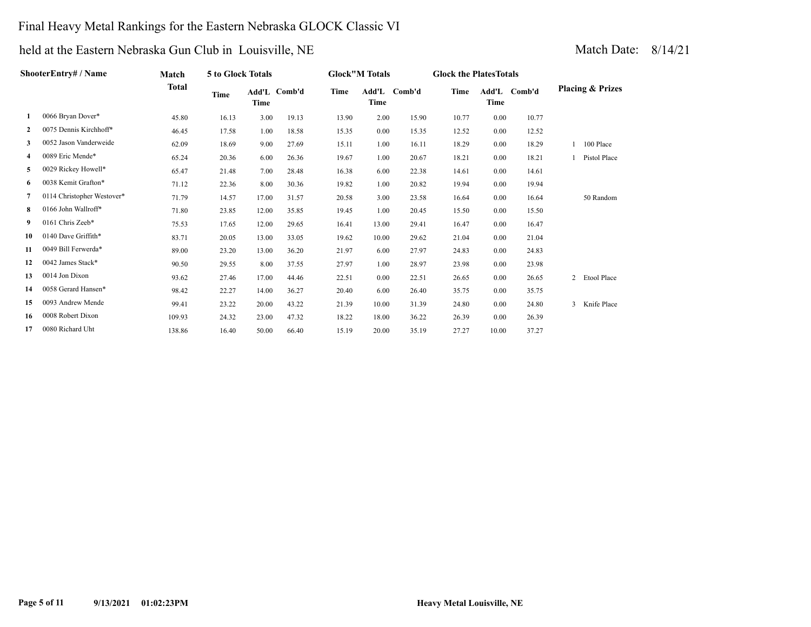### Final Heavy Metal Rankings for the Eastern Nebraska GLOCK Classic VI

|                | ShooterEntry# / Name       | Match  | 5 to Glock Totals |               |        |       | <b>Glock"M Totals</b> |        | <b>Glock the Plates Totals</b> |                      |        |                               |
|----------------|----------------------------|--------|-------------------|---------------|--------|-------|-----------------------|--------|--------------------------------|----------------------|--------|-------------------------------|
|                |                            | Total  | Time              | Add'L<br>Time | Comb'd | Time  | Add'L<br>Time         | Comb'd | <b>Time</b>                    | Add'L<br><b>Time</b> | Comb'd | <b>Placing &amp; Prizes</b>   |
| 1              | 0066 Bryan Dover*          | 45.80  | 16.13             | 3.00          | 19.13  | 13.90 | 2.00                  | 15.90  | 10.77                          | 0.00                 | 10.77  |                               |
| $\overline{2}$ | 0075 Dennis Kirchhoff*     | 46.45  | 17.58             | 1.00          | 18.58  | 15.35 | 0.00                  | 15.35  | 12.52                          | 0.00                 | 12.52  |                               |
| 3              | 0052 Jason Vanderweide     | 62.09  | 18.69             | 9.00          | 27.69  | 15.11 | 1.00                  | 16.11  | 18.29                          | 0.00                 | 18.29  | 1 100 Place                   |
| 4              | 0089 Eric Mende*           | 65.24  | 20.36             | 6.00          | 26.36  | 19.67 | 1.00                  | 20.67  | 18.21                          | 0.00                 | 18.21  | 1 Pistol Place                |
| 5              | 0029 Rickey Howell*        | 65.47  | 21.48             | 7.00          | 28.48  | 16.38 | 6.00                  | 22.38  | 14.61                          | 0.00                 | 14.61  |                               |
| 6              | 0038 Kemit Grafton*        | 71.12  | 22.36             | 8.00          | 30.36  | 19.82 | 1.00                  | 20.82  | 19.94                          | 0.00                 | 19.94  |                               |
| 7              | 0114 Christopher Westover* | 71.79  | 14.57             | 17.00         | 31.57  | 20.58 | 3.00                  | 23.58  | 16.64                          | 0.00                 | 16.64  | 50 Random                     |
| 8              | 0166 John Wallroff*        | 71.80  | 23.85             | 12.00         | 35.85  | 19.45 | 1.00                  | 20.45  | 15.50                          | 0.00                 | 15.50  |                               |
| 9              | 0161 Chris Zeeb*           | 75.53  | 17.65             | 12.00         | 29.65  | 16.41 | 13.00                 | 29.41  | 16.47                          | 0.00                 | 16.47  |                               |
| 10             | 0140 Dave Griffith*        | 83.71  | 20.05             | 13.00         | 33.05  | 19.62 | 10.00                 | 29.62  | 21.04                          | 0.00                 | 21.04  |                               |
| 11             | 0049 Bill Ferwerda*        | 89.00  | 23.20             | 13.00         | 36.20  | 21.97 | 6.00                  | 27.97  | 24.83                          | 0.00                 | 24.83  |                               |
| 12             | 0042 James Stack*          | 90.50  | 29.55             | 8.00          | 37.55  | 27.97 | 1.00                  | 28.97  | 23.98                          | 0.00                 | 23.98  |                               |
| 13             | 0014 Jon Dixon             | 93.62  | 27.46             | 17.00         | 44.46  | 22.51 | 0.00                  | 22.51  | 26.65                          | 0.00                 | 26.65  | Etool Place<br>$\overline{2}$ |
| 14             | 0058 Gerard Hansen*        | 98.42  | 22.27             | 14.00         | 36.27  | 20.40 | 6.00                  | 26.40  | 35.75                          | 0.00                 | 35.75  |                               |
| 15             | 0093 Andrew Mende          | 99.41  | 23.22             | 20.00         | 43.22  | 21.39 | 10.00                 | 31.39  | 24.80                          | 0.00                 | 24.80  | 3 Knife Place                 |
| 16             | 0008 Robert Dixon          | 109.93 | 24.32             | 23.00         | 47.32  | 18.22 | 18.00                 | 36.22  | 26.39                          | 0.00                 | 26.39  |                               |
| 17             | 0080 Richard Uht           | 138.86 | 16.40             | 50.00         | 66.40  | 15.19 | 20.00                 | 35.19  | 27.27                          | 10.00                | 37.27  |                               |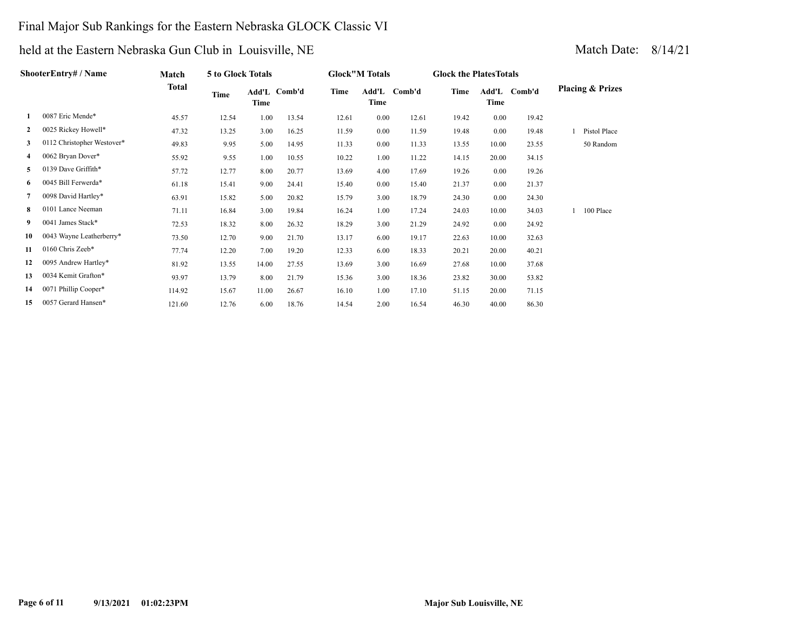### Final Major Sub Rankings for the Eastern Nebraska GLOCK Classic VI

|              | ShooterEntry# / Name       | Match        | 5 to Glock Totals |       |              |       | <b>Glock"M Totals</b> |              | <b>Glock the Plates Totals</b> |       |              |                             |
|--------------|----------------------------|--------------|-------------------|-------|--------------|-------|-----------------------|--------------|--------------------------------|-------|--------------|-----------------------------|
|              |                            | <b>Total</b> | Time              | Time  | Add'L Comb'd | Time  | Time                  | Add'L Comb'd | Time                           | Time  | Add'L Comb'd | <b>Placing &amp; Prizes</b> |
| 1            | 0087 Eric Mende*           | 45.57        | 12.54             | 1.00  | 13.54        | 12.61 | 0.00                  | 12.61        | 19.42                          | 0.00  | 19.42        |                             |
| $\mathbf{2}$ | 0025 Rickey Howell*        | 47.32        | 13.25             | 3.00  | 16.25        | 11.59 | 0.00                  | 11.59        | 19.48                          | 0.00  | 19.48        | Pistol Place                |
| 3            | 0112 Christopher Westover* | 49.83        | 9.95              | 5.00  | 14.95        | 11.33 | 0.00                  | 11.33        | 13.55                          | 10.00 | 23.55        | 50 Random                   |
| 4            | 0062 Bryan Dover*          | 55.92        | 9.55              | 1.00  | 10.55        | 10.22 | 1.00                  | 11.22        | 14.15                          | 20.00 | 34.15        |                             |
| 5            | 0139 Dave Griffith*        | 57.72        | 12.77             | 8.00  | 20.77        | 13.69 | 4.00                  | 17.69        | 19.26                          | 0.00  | 19.26        |                             |
| 6            | 0045 Bill Ferwerda*        | 61.18        | 15.41             | 9.00  | 24.41        | 15.40 | 0.00                  | 15.40        | 21.37                          | 0.00  | 21.37        |                             |
| 7            | 0098 David Hartley*        | 63.91        | 15.82             | 5.00  | 20.82        | 15.79 | 3.00                  | 18.79        | 24.30                          | 0.00  | 24.30        |                             |
| 8            | 0101 Lance Neeman          | 71.11        | 16.84             | 3.00  | 19.84        | 16.24 | 1.00                  | 17.24        | 24.03                          | 10.00 | 34.03        | 100 Place                   |
| 9.           | 0041 James Stack*          | 72.53        | 18.32             | 8.00  | 26.32        | 18.29 | 3.00                  | 21.29        | 24.92                          | 0.00  | 24.92        |                             |
| 10           | 0043 Wayne Leatherberry*   | 73.50        | 12.70             | 9.00  | 21.70        | 13.17 | 6.00                  | 19.17        | 22.63                          | 10.00 | 32.63        |                             |
| 11           | 0160 Chris Zeeb*           | 77.74        | 12.20             | 7.00  | 19.20        | 12.33 | 6.00                  | 18.33        | 20.21                          | 20.00 | 40.21        |                             |
| 12           | 0095 Andrew Hartley*       | 81.92        | 13.55             | 14.00 | 27.55        | 13.69 | 3.00                  | 16.69        | 27.68                          | 10.00 | 37.68        |                             |
| 13           | 0034 Kemit Grafton*        | 93.97        | 13.79             | 8.00  | 21.79        | 15.36 | 3.00                  | 18.36        | 23.82                          | 30.00 | 53.82        |                             |
| 14           | 0071 Phillip Cooper*       | 114.92       | 15.67             | 11.00 | 26.67        | 16.10 | 1.00                  | 17.10        | 51.15                          | 20.00 | 71.15        |                             |
| 15           | 0057 Gerard Hansen*        | 121.60       | 12.76             | 6.00  | 18.76        | 14.54 | 2.00                  | 16.54        | 46.30                          | 40.00 | 86.30        |                             |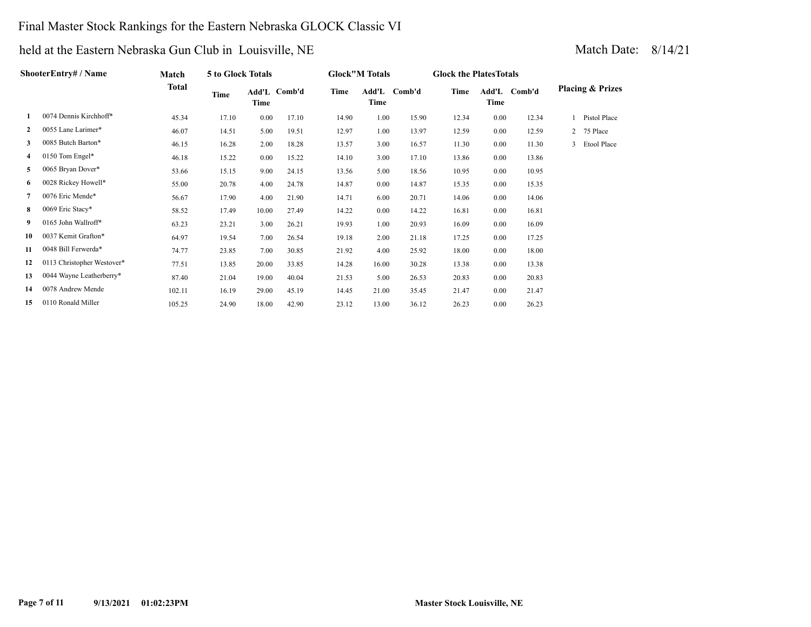### Final Master Stock Rankings for the Eastern Nebraska GLOCK Classic VI

|              | <b>ShooterEntry# / Name</b> | Match        | 5 to Glock Totals |       |              |       | <b>Glock</b> "M Totals |              | <b>Glock the Plates Totals</b> |      |              |                             |
|--------------|-----------------------------|--------------|-------------------|-------|--------------|-------|------------------------|--------------|--------------------------------|------|--------------|-----------------------------|
|              |                             | <b>Total</b> | Time              | Time  | Add'L Comb'd | Time  | Time                   | Add'L Comb'd | Time                           | Time | Add'L Comb'd | <b>Placing &amp; Prizes</b> |
| 1            | 0074 Dennis Kirchhoff*      | 45.34        | 17.10             | 0.00  | 17.10        | 14.90 | 1.00                   | 15.90        | 12.34                          | 0.00 | 12.34        | Pistol Place                |
| $\mathbf{2}$ | 0055 Lane Larimer*          | 46.07        | 14.51             | 5.00  | 19.51        | 12.97 | 1.00                   | 13.97        | 12.59                          | 0.00 | 12.59        | 2 75 Place                  |
| 3            | 0085 Butch Barton*          | 46.15        | 16.28             | 2.00  | 18.28        | 13.57 | 3.00                   | 16.57        | 11.30                          | 0.00 | 11.30        | Etool Place<br>3            |
| 4            | 0150 Tom Engel*             | 46.18        | 15.22             | 0.00  | 15.22        | 14.10 | 3.00                   | 17.10        | 13.86                          | 0.00 | 13.86        |                             |
| 5            | 0065 Bryan Dover*           | 53.66        | 15.15             | 9.00  | 24.15        | 13.56 | 5.00                   | 18.56        | 10.95                          | 0.00 | 10.95        |                             |
| 6            | 0028 Rickey Howell*         | 55.00        | 20.78             | 4.00  | 24.78        | 14.87 | 0.00                   | 14.87        | 15.35                          | 0.00 | 15.35        |                             |
| 7            | 0076 Eric Mende*            | 56.67        | 17.90             | 4.00  | 21.90        | 14.71 | 6.00                   | 20.71        | 14.06                          | 0.00 | 14.06        |                             |
| 8            | 0069 Eric Stacy*            | 58.52        | 17.49             | 10.00 | 27.49        | 14.22 | 0.00                   | 14.22        | 16.81                          | 0.00 | 16.81        |                             |
| 9            | 0165 John Wallroff*         | 63.23        | 23.21             | 3.00  | 26.21        | 19.93 | 1.00                   | 20.93        | 16.09                          | 0.00 | 16.09        |                             |
| 10           | 0037 Kemit Grafton*         | 64.97        | 19.54             | 7.00  | 26.54        | 19.18 | 2.00                   | 21.18        | 17.25                          | 0.00 | 17.25        |                             |
| 11           | 0048 Bill Ferwerda*         | 74.77        | 23.85             | 7.00  | 30.85        | 21.92 | 4.00                   | 25.92        | 18.00                          | 0.00 | 18.00        |                             |
| 12           | 0113 Christopher Westover*  | 77.51        | 13.85             | 20.00 | 33.85        | 14.28 | 16.00                  | 30.28        | 13.38                          | 0.00 | 13.38        |                             |
| 13           | 0044 Wayne Leatherberry*    | 87.40        | 21.04             | 19.00 | 40.04        | 21.53 | 5.00                   | 26.53        | 20.83                          | 0.00 | 20.83        |                             |
| 14           | 0078 Andrew Mende           | 102.11       | 16.19             | 29.00 | 45.19        | 14.45 | 21.00                  | 35.45        | 21.47                          | 0.00 | 21.47        |                             |
| 15           | 0110 Ronald Miller          | 105.25       | 24.90             | 18.00 | 42.90        | 23.12 | 13.00                  | 36.12        | 26.23                          | 0.00 | 26.23        |                             |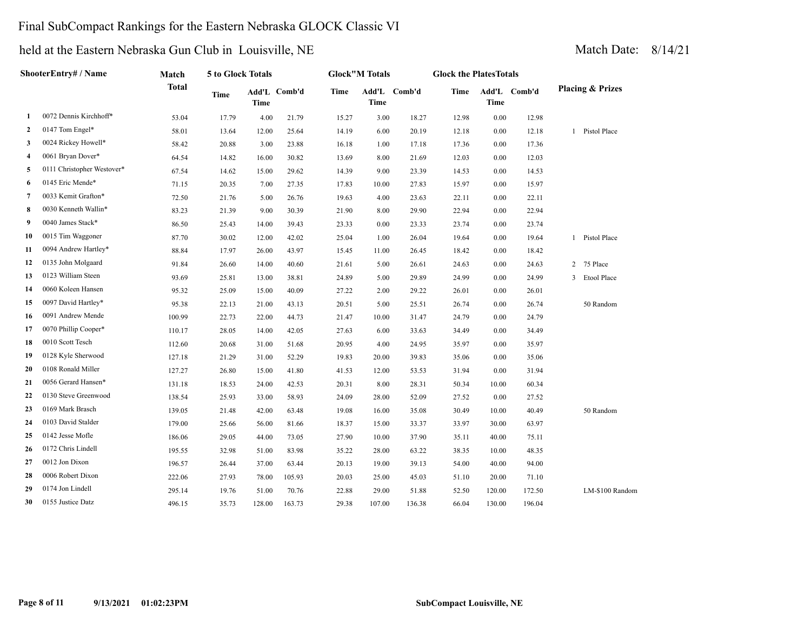### Final SubCompact Rankings for the Eastern Nebraska GLOCK Classic VI

|                | <b>ShooterEntry# / Name</b> | Match        | 5 to Glock Totals |             |              |       | <b>Glock"M Totals</b> |              | <b>Glock the PlatesTotals</b> |             |              |                |                             |
|----------------|-----------------------------|--------------|-------------------|-------------|--------------|-------|-----------------------|--------------|-------------------------------|-------------|--------------|----------------|-----------------------------|
|                |                             | <b>Total</b> | <b>Time</b>       | <b>Time</b> | Add'L Comb'd | Time  | <b>Time</b>           | Add'L Comb'd | Time                          | <b>Time</b> | Add'L Comb'd |                | <b>Placing &amp; Prizes</b> |
| 1              | 0072 Dennis Kirchhoff*      | 53.04        | 17.79             | 4.00        | 21.79        | 15.27 | 3.00                  | 18.27        | 12.98                         | 0.00        | 12.98        |                |                             |
| 2              | 0147 Tom Engel*             | 58.01        | 13.64             | 12.00       | 25.64        | 14.19 | 6.00                  | 20.19        | 12.18                         | 0.00        | 12.18        | $\mathbf{1}$   | Pistol Place                |
| 3              | 0024 Rickey Howell*         | 58.42        | 20.88             | 3.00        | 23.88        | 16.18 | 1.00                  | 17.18        | 17.36                         | 0.00        | 17.36        |                |                             |
| 4              | 0061 Bryan Dover*           | 64.54        | 14.82             | 16.00       | 30.82        | 13.69 | 8.00                  | 21.69        | 12.03                         | 0.00        | 12.03        |                |                             |
| 5              | 0111 Christopher Westover*  | 67.54        | 14.62             | 15.00       | 29.62        | 14.39 | 9.00                  | 23.39        | 14.53                         | 0.00        | 14.53        |                |                             |
| 6              | 0145 Eric Mende*            | 71.15        | 20.35             | 7.00        | 27.35        | 17.83 | 10.00                 | 27.83        | 15.97                         | 0.00        | 15.97        |                |                             |
| $\overline{7}$ | 0033 Kemit Grafton*         | 72.50        | 21.76             | 5.00        | 26.76        | 19.63 | 4.00                  | 23.63        | 22.11                         | 0.00        | 22.11        |                |                             |
| 8              | 0030 Kenneth Wallin*        | 83.23        | 21.39             | 9.00        | 30.39        | 21.90 | 8.00                  | 29.90        | 22.94                         | 0.00        | 22.94        |                |                             |
| 9              | 0040 James Stack*           | 86.50        | 25.43             | 14.00       | 39.43        | 23.33 | 0.00                  | 23.33        | 23.74                         | 0.00        | 23.74        |                |                             |
| 10             | 0015 Tim Waggoner           | 87.70        | 30.02             | 12.00       | 42.02        | 25.04 | 1.00                  | 26.04        | 19.64                         | 0.00        | 19.64        |                | 1 Pistol Place              |
| 11             | 0094 Andrew Hartley*        | 88.84        | 17.97             | 26.00       | 43.97        | 15.45 | 11.00                 | 26.45        | 18.42                         | 0.00        | 18.42        |                |                             |
| 12             | 0135 John Molgaard          | 91.84        | 26.60             | 14.00       | 40.60        | 21.61 | 5.00                  | 26.61        | 24.63                         | 0.00        | 24.63        | $\overline{2}$ | 75 Place                    |
| 13             | 0123 William Steen          | 93.69        | 25.81             | 13.00       | 38.81        | 24.89 | 5.00                  | 29.89        | 24.99                         | 0.00        | 24.99        | 3              | Etool Place                 |
| 14             | 0060 Koleen Hansen          | 95.32        | 25.09             | 15.00       | 40.09        | 27.22 | 2.00                  | 29.22        | 26.01                         | 0.00        | 26.01        |                |                             |
| 15             | 0097 David Hartley*         | 95.38        | 22.13             | 21.00       | 43.13        | 20.51 | 5.00                  | 25.51        | 26.74                         | 0.00        | 26.74        |                | 50 Random                   |
| 16             | 0091 Andrew Mende           | 100.99       | 22.73             | 22.00       | 44.73        | 21.47 | 10.00                 | 31.47        | 24.79                         | 0.00        | 24.79        |                |                             |
| 17             | 0070 Phillip Cooper*        | 110.17       | 28.05             | 14.00       | 42.05        | 27.63 | 6.00                  | 33.63        | 34.49                         | 0.00        | 34.49        |                |                             |
| 18             | 0010 Scott Tesch            | 112.60       | 20.68             | 31.00       | 51.68        | 20.95 | 4.00                  | 24.95        | 35.97                         | 0.00        | 35.97        |                |                             |
| 19             | 0128 Kyle Sherwood          | 127.18       | 21.29             | 31.00       | 52.29        | 19.83 | 20.00                 | 39.83        | 35.06                         | 0.00        | 35.06        |                |                             |
| 20             | 0108 Ronald Miller          | 127.27       | 26.80             | 15.00       | 41.80        | 41.53 | 12.00                 | 53.53        | 31.94                         | 0.00        | 31.94        |                |                             |
| 21             | 0056 Gerard Hansen*         | 131.18       | 18.53             | 24.00       | 42.53        | 20.31 | 8.00                  | 28.31        | 50.34                         | 10.00       | 60.34        |                |                             |
| 22             | 0130 Steve Greenwood        | 138.54       | 25.93             | 33.00       | 58.93        | 24.09 | 28.00                 | 52.09        | 27.52                         | 0.00        | 27.52        |                |                             |
| 23             | 0169 Mark Brasch            | 139.05       | 21.48             | 42.00       | 63.48        | 19.08 | 16.00                 | 35.08        | 30.49                         | 10.00       | 40.49        |                | 50 Random                   |
| 24             | 0103 David Stalder          | 179.00       | 25.66             | 56.00       | 81.66        | 18.37 | 15.00                 | 33.37        | 33.97                         | 30.00       | 63.97        |                |                             |
| 25             | 0142 Jesse Mofle            | 186.06       | 29.05             | 44.00       | 73.05        | 27.90 | 10.00                 | 37.90        | 35.11                         | 40.00       | 75.11        |                |                             |
| 26             | 0172 Chris Lindell          | 195.55       | 32.98             | 51.00       | 83.98        | 35.22 | 28.00                 | 63.22        | 38.35                         | 10.00       | 48.35        |                |                             |
| 27             | 0012 Jon Dixon              | 196.57       | 26.44             | 37.00       | 63.44        | 20.13 | 19.00                 | 39.13        | 54.00                         | 40.00       | 94.00        |                |                             |
| 28             | 0006 Robert Dixon           | 222.06       | 27.93             | 78.00       | 105.93       | 20.03 | 25.00                 | 45.03        | 51.10                         | 20.00       | 71.10        |                |                             |
| 29             | 0174 Jon Lindell            | 295.14       | 19.76             | 51.00       | 70.76        | 22.88 | 29.00                 | 51.88        | 52.50                         | 120.00      | 172.50       |                | LM-\$100 Random             |
| 30             | 0155 Justice Datz           | 496.15       | 35.73             | 128.00      | 163.73       | 29.38 | 107.00                | 136.38       | 66.04                         | 130.00      | 196.04       |                |                             |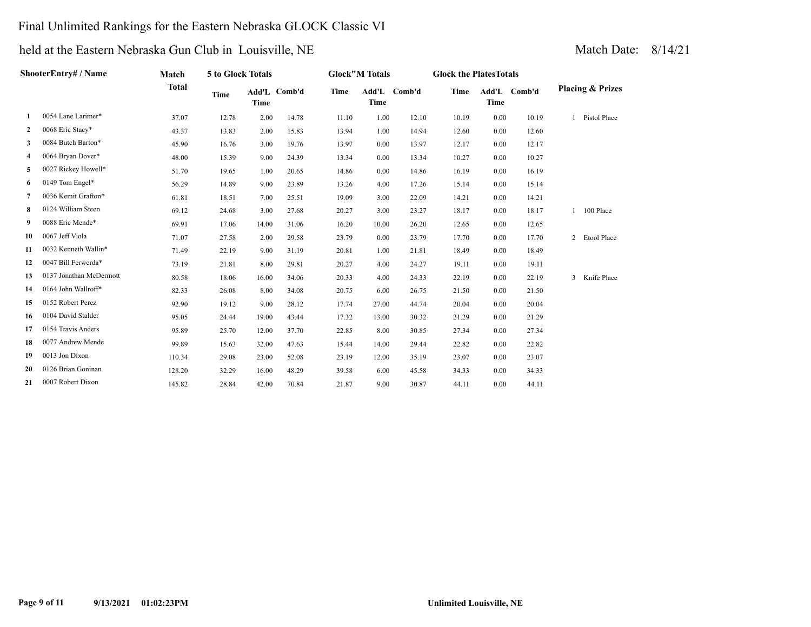### Final Unlimited Rankings for the Eastern Nebraska GLOCK Classic VI

| ShooterEntry# / Name |                         | Match  | 5 to Glock Totals |             |              | <b>Glock"M Totals</b> |             |              | <b>Glock the PlatesTotals</b> |             |              |                             |  |
|----------------------|-------------------------|--------|-------------------|-------------|--------------|-----------------------|-------------|--------------|-------------------------------|-------------|--------------|-----------------------------|--|
|                      | <b>Total</b>            |        | <b>Time</b>       | <b>Time</b> | Add'L Comb'd | <b>Time</b>           | <b>Time</b> | Add'L Comb'd | Time                          | <b>Time</b> | Add'L Comb'd | <b>Placing &amp; Prizes</b> |  |
| 1                    | 0054 Lane Larimer*      | 37.07  | 12.78             | 2.00        | 14.78        | 11.10                 | 1.00        | 12.10        | 10.19                         | 0.00        | 10.19        | 1 Pistol Place              |  |
| $\mathbf{2}$         | 0068 Eric Stacy*        | 43.37  | 13.83             | 2.00        | 15.83        | 13.94                 | 1.00        | 14.94        | 12.60                         | 0.00        | 12.60        |                             |  |
| 3                    | 0084 Butch Barton*      | 45.90  | 16.76             | 3.00        | 19.76        | 13.97                 | 0.00        | 13.97        | 12.17                         | 0.00        | 12.17        |                             |  |
| 4                    | 0064 Bryan Dover*       | 48.00  | 15.39             | 9.00        | 24.39        | 13.34                 | 0.00        | 13.34        | 10.27                         | 0.00        | 10.27        |                             |  |
| 5                    | 0027 Rickey Howell*     | 51.70  | 19.65             | 1.00        | 20.65        | 14.86                 | 0.00        | 14.86        | 16.19                         | 0.00        | 16.19        |                             |  |
| 6                    | 0149 Tom Engel*         | 56.29  | 14.89             | 9.00        | 23.89        | 13.26                 | 4.00        | 17.26        | 15.14                         | 0.00        | 15.14        |                             |  |
| 7                    | 0036 Kemit Grafton*     | 61.81  | 18.51             | 7.00        | 25.51        | 19.09                 | 3.00        | 22.09        | 14.21                         | 0.00        | 14.21        |                             |  |
| 8                    | 0124 William Steen      | 69.12  | 24.68             | 3.00        | 27.68        | 20.27                 | 3.00        | 23.27        | 18.17                         | 0.00        | 18.17        | 100 Place                   |  |
| 9                    | 0088 Eric Mende*        | 69.91  | 17.06             | 14.00       | 31.06        | 16.20                 | 10.00       | 26.20        | 12.65                         | 0.00        | 12.65        |                             |  |
| 10                   | 0067 Jeff Viola         | 71.07  | 27.58             | 2.00        | 29.58        | 23.79                 | 0.00        | 23.79        | 17.70                         | 0.00        | 17.70        | 2 Etool Place               |  |
| 11                   | 0032 Kenneth Wallin*    | 71.49  | 22.19             | 9.00        | 31.19        | 20.81                 | 1.00        | 21.81        | 18.49                         | 0.00        | 18.49        |                             |  |
| 12                   | 0047 Bill Ferwerda*     | 73.19  | 21.81             | 8.00        | 29.81        | 20.27                 | 4.00        | 24.27        | 19.11                         | 0.00        | 19.11        |                             |  |
| 13                   | 0137 Jonathan McDermott | 80.58  | 18.06             | 16.00       | 34.06        | 20.33                 | 4.00        | 24.33        | 22.19                         | 0.00        | 22.19        | 3 Knife Place               |  |
| 14                   | 0164 John Wallroff*     | 82.33  | 26.08             | 8.00        | 34.08        | 20.75                 | 6.00        | 26.75        | 21.50                         | 0.00        | 21.50        |                             |  |
| 15                   | 0152 Robert Perez       | 92.90  | 19.12             | 9.00        | 28.12        | 17.74                 | 27.00       | 44.74        | 20.04                         | 0.00        | 20.04        |                             |  |
| 16                   | 0104 David Stalder      | 95.05  | 24.44             | 19.00       | 43.44        | 17.32                 | 13.00       | 30.32        | 21.29                         | 0.00        | 21.29        |                             |  |
| 17                   | 0154 Travis Anders      | 95.89  | 25.70             | 12.00       | 37.70        | 22.85                 | 8.00        | 30.85        | 27.34                         | 0.00        | 27.34        |                             |  |
| 18                   | 0077 Andrew Mende       | 99.89  | 15.63             | 32.00       | 47.63        | 15.44                 | 14.00       | 29.44        | 22.82                         | 0.00        | 22.82        |                             |  |
| 19                   | 0013 Jon Dixon          | 110.34 | 29.08             | 23.00       | 52.08        | 23.19                 | 12.00       | 35.19        | 23.07                         | 0.00        | 23.07        |                             |  |
| 20                   | 0126 Brian Goninan      | 128.20 | 32.29             | 16.00       | 48.29        | 39.58                 | 6.00        | 45.58        | 34.33                         | 0.00        | 34.33        |                             |  |
| 21                   | 0007 Robert Dixon       | 145.82 | 28.84             | 42.00       | 70.84        | 21.87                 | 9.00        | 30.87        | 44.11                         | 0.00        | 44.11        |                             |  |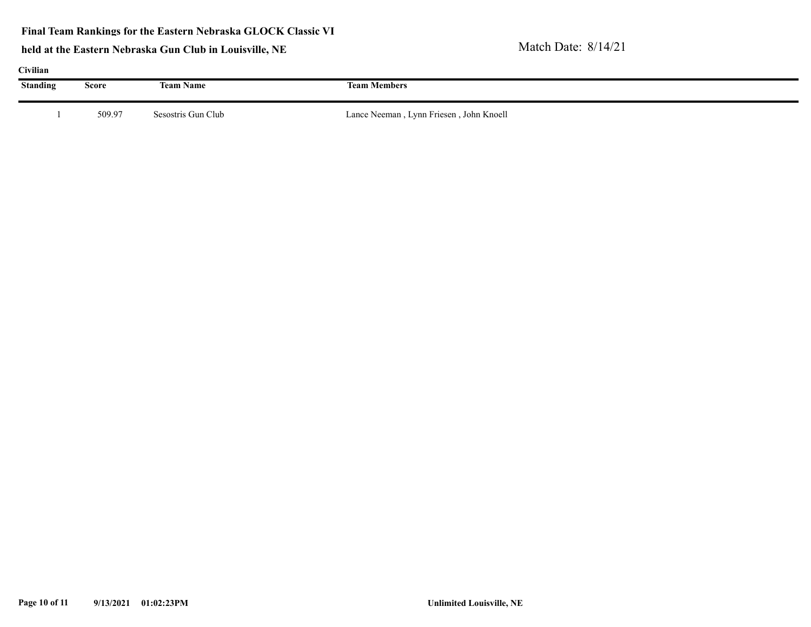| Civilian        |        |                    |                                         |  |  |  |  |  |  |  |
|-----------------|--------|--------------------|-----------------------------------------|--|--|--|--|--|--|--|
| <b>Standing</b> | Score  | <b>Team Name</b>   | <b>Team Members</b>                     |  |  |  |  |  |  |  |
|                 | 509.97 | Sesostris Gun Club | Lance Neeman, Lynn Friesen, John Knoell |  |  |  |  |  |  |  |